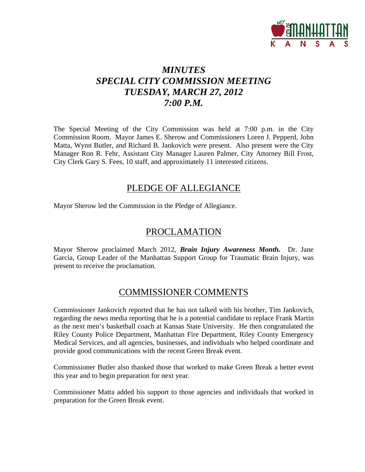

# *MINUTES SPECIAL CITY COMMISSION MEETING TUESDAY, MARCH 27, 2012 7:00 P.M.*

The Special Meeting of the City Commission was held at 7:00 p.m. in the City Commission Room. Mayor James E. Sherow and Commissioners Loren J. Pepperd, John Matta, Wynn Butler, and Richard B. Jankovich were present. Also present were the City Manager Ron R. Fehr, Assistant City Manager Lauren Palmer, City Attorney Bill Frost, City Clerk Gary S. Fees, 10 staff, and approximately 11 interested citizens.

### PLEDGE OF ALLEGIANCE

Mayor Sherow led the Commission in the Pledge of Allegiance.

### PROCLAMATION

Mayor Sherow proclaimed March 2012, *Brain Injury Awareness Month.* Dr. Jane Garcia, Group Leader of the Manhattan Support Group for Traumatic Brain Injury, was present to receive the proclamation.

### COMMISSIONER COMMENTS

Commissioner Jankovich reported that he has not talked with his brother, Tim Jankovich, regarding the news media reporting that he is a potential candidate to replace Frank Martin as the next men's basketball coach at Kansas State University. He then congratulated the Riley County Police Department, Manhattan Fire Department, Riley County Emergency Medical Services, and all agencies, businesses, and individuals who helped coordinate and provide good communications with the recent Green Break event.

Commissioner Butler also thanked those that worked to make Green Break a better event this year and to begin preparation for next year.

Commissioner Matta added his support to those agencies and individuals that worked in preparation for the Green Break event.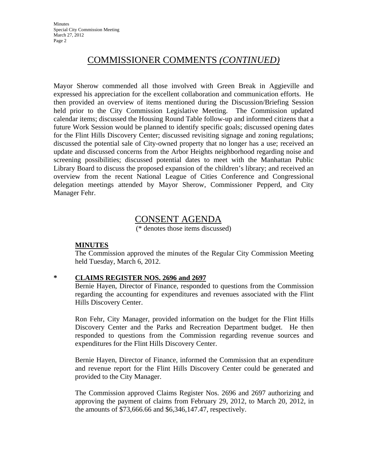## COMMISSIONER COMMENTS *(CONTINUED)*

Mayor Sherow commended all those involved with Green Break in Aggieville and expressed his appreciation for the excellent collaboration and communication efforts. He then provided an overview of items mentioned during the Discussion/Briefing Session held prior to the City Commission Legislative Meeting. The Commission updated calendar items; discussed the Housing Round Table follow-up and informed citizens that a future Work Session would be planned to identify specific goals; discussed opening dates for the Flint Hills Discovery Center; discussed revisiting signage and zoning regulations; discussed the potential sale of City-owned property that no longer has a use; received an update and discussed concerns from the Arbor Heights neighborhood regarding noise and screening possibilities; discussed potential dates to meet with the Manhattan Public Library Board to discuss the proposed expansion of the children's library; and received an overview from the recent National League of Cities Conference and Congressional delegation meetings attended by Mayor Sherow, Commissioner Pepperd, and City Manager Fehr.

# CONSENT AGENDA

(\* denotes those items discussed)

#### **MINUTES**

The Commission approved the minutes of the Regular City Commission Meeting held Tuesday, March 6, 2012.

### **\* CLAIMS REGISTER NOS. 2696 and 2697**

Bernie Hayen, Director of Finance, responded to questions from the Commission regarding the accounting for expenditures and revenues associated with the Flint Hills Discovery Center.

Ron Fehr, City Manager, provided information on the budget for the Flint Hills Discovery Center and the Parks and Recreation Department budget. He then responded to questions from the Commission regarding revenue sources and expenditures for the Flint Hills Discovery Center.

Bernie Hayen, Director of Finance, informed the Commission that an expenditure and revenue report for the Flint Hills Discovery Center could be generated and provided to the City Manager.

The Commission approved Claims Register Nos. 2696 and 2697 authorizing and approving the payment of claims from February 29, 2012, to March 20, 2012, in the amounts of \$73,666.66 and \$6,346,147.47, respectively.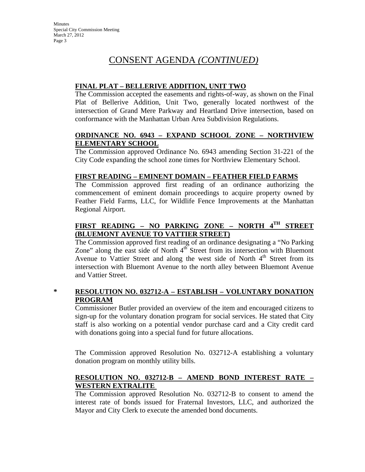# CONSENT AGENDA *(CONTINUED)*

### **FINAL PLAT – BELLERIVE ADDITION, UNIT TWO**

The Commission accepted the easements and rights-of-way, as shown on the Final Plat of Bellerive Addition, Unit Two, generally located northwest of the intersection of Grand Mere Parkway and Heartland Drive intersection, based on conformance with the Manhattan Urban Area Subdivision Regulations.

### **ORDINANCE NO. 6943 – EXPAND SCHOOL ZONE – NORTHVIEW ELEMENTARY SCHOOL**

The Commission approved Ordinance No. 6943 amending Section 31-221 of the City Code expanding the school zone times for Northview Elementary School.

### **FIRST READING – EMINENT DOMAIN – FEATHER FIELD FARMS**

The Commission approved first reading of an ordinance authorizing the commencement of eminent domain proceedings to acquire property owned by Feather Field Farms, LLC, for Wildlife Fence Improvements at the Manhattan Regional Airport.

### **FIRST READING – NO PARKING ZONE – NORTH 4TH STREET (BLUEMONT AVENUE TO VATTIER STREET)**

The Commission approved first reading of an ordinance designating a "No Parking Zone" along the east side of North  $4^{\text{th}}$  Street from its intersection with Bluemont Avenue to Vattier Street and along the west side of North  $4<sup>th</sup>$  Street from its intersection with Bluemont Avenue to the north alley between Bluemont Avenue and Vattier Street.

### **\* RESOLUTION NO. 032712-A – ESTABLISH – VOLUNTARY DONATION PROGRAM**

Commissioner Butler provided an overview of the item and encouraged citizens to sign-up for the voluntary donation program for social services. He stated that City staff is also working on a potential vendor purchase card and a City credit card with donations going into a special fund for future allocations.

The Commission approved Resolution No. 032712-A establishing a voluntary donation program on monthly utility bills.

### **RESOLUTION NO. 032712-B – AMEND BOND INTEREST RATE – WESTERN EXTRALITE**

The Commission approved Resolution No. 032712-B to consent to amend the interest rate of bonds issued for Fraternal Investors, LLC, and authorized the Mayor and City Clerk to execute the amended bond documents.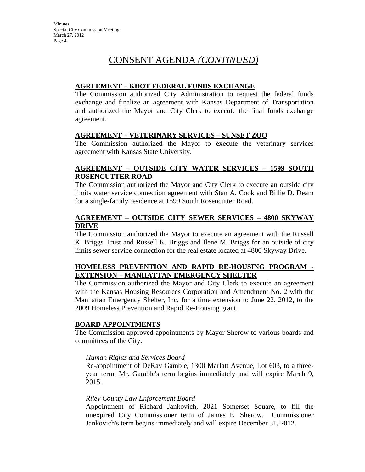# CONSENT AGENDA *(CONTINUED)*

#### **AGREEMENT – KDOT FEDERAL FUNDS EXCHANGE**

The Commission authorized City Administration to request the federal funds exchange and finalize an agreement with Kansas Department of Transportation and authorized the Mayor and City Clerk to execute the final funds exchange agreement.

#### **AGREEMENT – VETERINARY SERVICES – SUNSET ZOO**

The Commission authorized the Mayor to execute the veterinary services agreement with Kansas State University.

#### **AGREEMENT – OUTSIDE CITY WATER SERVICES – 1599 SOUTH ROSENCUTTER ROAD**

The Commission authorized the Mayor and City Clerk to execute an outside city limits water service connection agreement with Stan A. Cook and Billie D. Deam for a single-family residence at 1599 South Rosencutter Road.

### **AGREEMENT – OUTSIDE CITY SEWER SERVICES – 4800 SKYWAY DRIVE**

The Commission authorized the Mayor to execute an agreement with the Russell K. Briggs Trust and Russell K. Briggs and Ilene M. Briggs for an outside of city limits sewer service connection for the real estate located at 4800 Skyway Drive.

### **HOMELESS PREVENTION AND RAPID RE-HOUSING PROGRAM - EXTENSION – MANHATTAN EMERGENCY SHELTER**

The Commission authorized the Mayor and City Clerk to execute an agreement with the Kansas Housing Resources Corporation and Amendment No. 2 with the Manhattan Emergency Shelter, Inc, for a time extension to June 22, 2012, to the 2009 Homeless Prevention and Rapid Re-Housing grant.

### **BOARD APPOINTMENTS**

The Commission approved appointments by Mayor Sherow to various boards and committees of the City.

#### *Human Rights and Services Board*

Re-appointment of DeRay Gamble, 1300 Marlatt Avenue, Lot 603, to a threeyear term. Mr. Gamble's term begins immediately and will expire March 9, 2015.

#### *Riley County Law Enforcement Board*

Appointment of Richard Jankovich, 2021 Somerset Square, to fill the unexpired City Commissioner term of James E. Sherow. Commissioner Jankovich's term begins immediately and will expire December 31, 2012.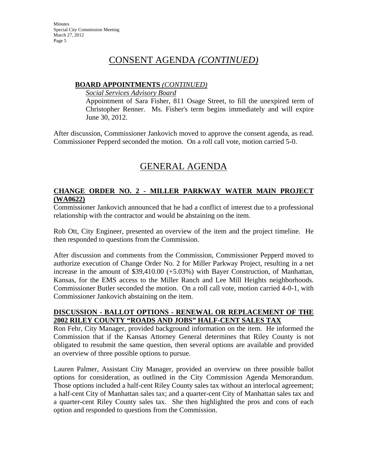## CONSENT AGENDA *(CONTINUED)*

#### **BOARD APPOINTMENTS** *(CONTINUED)*

*Social Services Advisory Board*

Appointment of Sara Fisher, 811 Osage Street, to fill the unexpired term of Christopher Renner. Ms. Fisher's term begins immediately and will expire June 30, 2012.

After discussion, Commissioner Jankovich moved to approve the consent agenda, as read. Commissioner Pepperd seconded the motion. On a roll call vote, motion carried 5-0.

# GENERAL AGENDA

### **CHANGE ORDER NO. 2 - MILLER PARKWAY WATER MAIN PROJECT (WA0622)**

Commissioner Jankovich announced that he had a conflict of interest due to a professional relationship with the contractor and would be abstaining on the item.

Rob Ott, City Engineer, presented an overview of the item and the project timeline. He then responded to questions from the Commission.

After discussion and comments from the Commission, Commissioner Pepperd moved to authorize execution of Change Order No. 2 for Miller Parkway Project, resulting in a net increase in the amount of \$39,410.00 (+5.03%) with Bayer Construction, of Manhattan, Kansas, for the EMS access to the Miller Ranch and Lee Mill Heights neighborhoods. Commissioner Butler seconded the motion. On a roll call vote, motion carried 4-0-1, with Commissioner Jankovich abstaining on the item.

#### **DISCUSSION - BALLOT OPTIONS - RENEWAL OR REPLACEMENT OF THE 2002 RILEY COUNTY "ROADS AND JOBS" HALF-CENT SALES TAX**

Ron Fehr, City Manager, provided background information on the item. He informed the Commission that if the Kansas Attorney General determines that Riley County is not obligated to resubmit the same question, then several options are available and provided an overview of three possible options to pursue.

Lauren Palmer, Assistant City Manager, provided an overview on three possible ballot options for consideration, as outlined in the City Commission Agenda Memorandum. Those options included a half-cent Riley County sales tax without an interlocal agreement; a half-cent City of Manhattan sales tax; and a quarter-cent City of Manhattan sales tax and a quarter-cent Riley County sales tax. She then highlighted the pros and cons of each option and responded to questions from the Commission.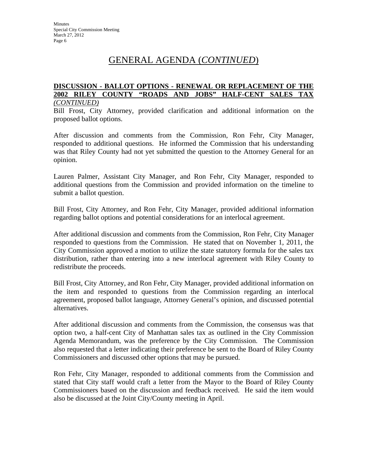## GENERAL AGENDA (*CONTINUED*)

#### **DISCUSSION - BALLOT OPTIONS - RENEWAL OR REPLACEMENT OF THE 2002 RILEY COUNTY "ROADS AND JOBS" HALF-CENT SALES TAX** *(CONTINUED)*

Bill Frost, City Attorney, provided clarification and additional information on the proposed ballot options.

After discussion and comments from the Commission, Ron Fehr, City Manager, responded to additional questions. He informed the Commission that his understanding was that Riley County had not yet submitted the question to the Attorney General for an opinion.

Lauren Palmer, Assistant City Manager, and Ron Fehr, City Manager, responded to additional questions from the Commission and provided information on the timeline to submit a ballot question.

Bill Frost, City Attorney, and Ron Fehr, City Manager, provided additional information regarding ballot options and potential considerations for an interlocal agreement.

After additional discussion and comments from the Commission, Ron Fehr, City Manager responded to questions from the Commission. He stated that on November 1, 2011, the City Commission approved a motion to utilize the state statutory formula for the sales tax distribution, rather than entering into a new interlocal agreement with Riley County to redistribute the proceeds.

Bill Frost, City Attorney, and Ron Fehr, City Manager, provided additional information on the item and responded to questions from the Commission regarding an interlocal agreement, proposed ballot language, Attorney General's opinion, and discussed potential alternatives.

After additional discussion and comments from the Commission, the consensus was that option two, a half-cent City of Manhattan sales tax as outlined in the City Commission Agenda Memorandum, was the preference by the City Commission. The Commission also requested that a letter indicating their preference be sent to the Board of Riley County Commissioners and discussed other options that may be pursued.

Ron Fehr, City Manager, responded to additional comments from the Commission and stated that City staff would craft a letter from the Mayor to the Board of Riley County Commissioners based on the discussion and feedback received. He said the item would also be discussed at the Joint City/County meeting in April.